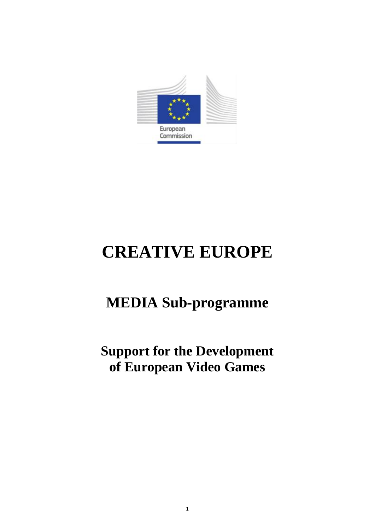

# **CREATIVE EUROPE**

## **MEDIA Sub-programme**

## **Support for the Development of European Video Games**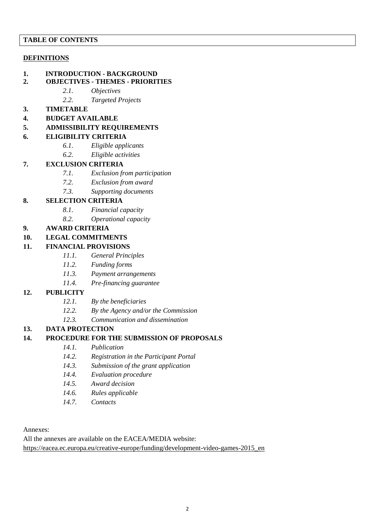#### **TABLE OF CONTENTS**

#### **DEFINITIONS**

- **1. INTRODUCTION - BACKGROUND**
- **2. OBJECTIVES - THEMES - PRIORITIES**
	- *2.1. Objectives*
	- *2.2. Targeted Projects*
- **3. TIMETABLE**
- **4. BUDGET AVAILABLE**
- **5. ADMISSIBILITY REQUIREMENTS**

#### **6. ELIGIBILITY CRITERIA**

- *6.1. Eligible applicants*
- *6.2. Eligible activities*

#### **7. EXCLUSION CRITERIA**

- *7.1. Exclusion from participation*
- *7.2. Exclusion from award*
- *7.3. Supporting documents*

#### **8. SELECTION CRITERIA**

- *8.1. Financial capacity*
- *8.2. Operational capacity*

#### **9. AWARD CRITERIA**

**10. LEGAL COMMITMENTS**

#### **11. FINANCIAL PROVISIONS**

- *11.1. General Principles*
- *11.2. Funding forms*
- *11.3. Payment arrangements*
- *11.4. Pre-financing guarantee*

#### **12. PUBLICITY**

- *12.1. By the beneficiaries*
- *12.2. By the Agency and/or the Commission*
- *12.3. Communication and dissemination*

#### **13. DATA PROTECTION**

#### **14. PROCEDURE FOR THE SUBMISSION OF PROPOSALS**

- *14.1. Publication*
- *14.2. Registration in the Participant Portal*
- *14.3. Submission of the grant application*
- *14.4. Evaluation procedure*
- *14.5. Award decision*
- *14.6. Rules applicable*
- *14.7. Contacts*

#### Annexes:

All the annexes are available on the EACEA/MEDIA website:

[https://eacea.ec.europa.eu/creative-europe/funding/development-video-games-2015\\_en](https://eacea.ec.europa.eu/creative-europe/funding/development-video-games-2015_en)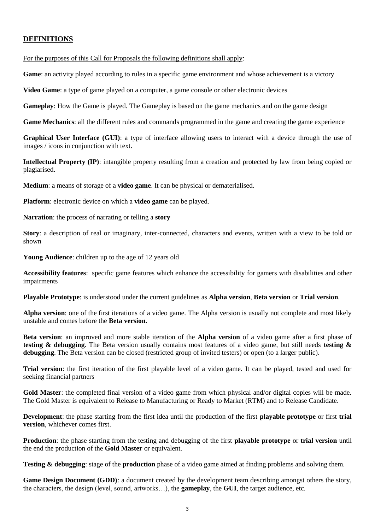## **DEFINITIONS**

For the purposes of this Call for Proposals the following definitions shall apply:

**Game**: an activity played according to rules in a specific game environment and whose achievement is a victory

**Video Game**: a type of game played on a computer, a game console or other electronic devices

**Gameplay**: How the Game is played. The Gameplay is based on the game mechanics and on the game design

**Game Mechanics**: all the different rules and commands programmed in the game and creating the game experience

**Graphical User Interface (GUI)**: a type of interface allowing users to interact with a device through the use of images / icons in conjunction with text.

**Intellectual Property (IP)**: intangible property resulting from a creation and protected by law from being copied or plagiarised.

**Medium**: a means of storage of a **video game**. It can be physical or dematerialised.

**Platform**: electronic device on which a **video game** can be played.

**Narration**: the process of narrating or telling a **story**

**Story**: a description of real or imaginary, inter-connected, characters and events, written with a view to be told or shown

**Young Audience**: children up to the age of 12 years old

**Accessibility features**: specific game features which enhance the accessibility for gamers with disabilities and other impairments

**Playable Prototype**: is understood under the current guidelines as **Alpha version**, **Beta version** or **Trial version**.

**Alpha version**: one of the first iterations of a video game. The Alpha version is usually not complete and most likely unstable and comes before the **Beta version**.

**Beta version**: an improved and more stable iteration of the **Alpha version** of a video game after a first phase of **testing & debugging**. The Beta version usually contains most features of a video game, but still needs **testing & debugging**. The Beta version can be closed (restricted group of invited testers) or open (to a larger public).

**Trial version**: the first iteration of the first playable level of a video game. It can be played, tested and used for seeking financial partners

Gold Master: the completed final version of a video game from which physical and/or digital copies will be made. The Gold Master is equivalent to Release to Manufacturing or Ready to Market (RTM) and to Release Candidate.

**Development**: the phase starting from the first idea until the production of the first **playable prototype** or first **trial version**, whichever comes first.

**Production**: the phase starting from the testing and debugging of the first **playable prototype** or **trial version** until the end the production of the **Gold Master** or equivalent.

**Testing & debugging**: stage of the **production** phase of a video game aimed at finding problems and solving them.

**Game Design Document (GDD)**: a document created by the development team describing amongst others the story, the characters, the design (level, sound, artworks…), the **gameplay**, the **GUI**, the target audience, etc.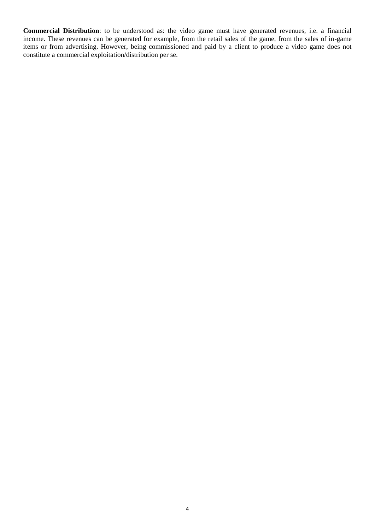**Commercial Distribution**: to be understood as: the video game must have generated revenues, i.e. a financial income. These revenues can be generated for example, from the retail sales of the game, from the sales of in-game items or from advertising. However, being commissioned and paid by a client to produce a video game does not constitute a commercial exploitation/distribution per se.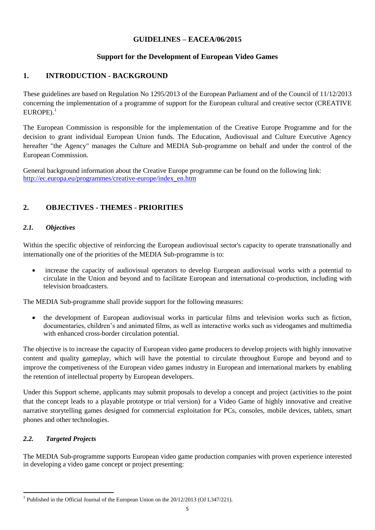#### **GUIDELINES – EACEA/06/2015**

## **Support for the Development of European Video Games**

## **1. INTRODUCTION - BACKGROUND**

These guidelines are based on Regulation No 1295/2013 of the European Parliament and of the Council of 11/12/2013 concerning the implementation of a programme of support for the European cultural and creative sector (CREATIVE  $EUROPE$ ).<sup>1</sup>

The European Commission is responsible for the implementation of the Creative Europe Programme and for the decision to grant individual European Union funds. The Education, Audiovisual and Culture Executive Agency hereafter "the Agency" manages the Culture and MEDIA Sub-programme on behalf and under the control of the European Commission.

General background information about the Creative Europe programme can be found on the following link: [http://ec.europa.eu/programmes/creative-europe/index\\_en.htm](http://ec.europa.eu/programmes/creative-europe/index_en.htm)

## **2. OBJECTIVES - THEMES - PRIORITIES**

#### *2.1. Objectives*

Within the specific objective of reinforcing the European audiovisual sector's capacity to operate transnationally and internationally one of the priorities of the MEDIA Sub-programme is to:

 increase the capacity of audiovisual operators to develop European audiovisual works with a potential to circulate in the Union and beyond and to facilitate European and international co-production, including with television broadcasters.

The MEDIA Sub-programme shall provide support for the following measures:

 the development of European audiovisual works in particular films and television works such as fiction, documentaries, children's and animated films, as well as interactive works such as videogames and multimedia with enhanced cross-border circulation potential.

The objective is to increase the capacity of European video game producers to develop projects with highly innovative content and quality gameplay, which will have the potential to circulate throughout Europe and beyond and to improve the competiveness of the European video games industry in European and international markets by enabling the retention of intellectual property by European developers.

Under this Support scheme, applicants may submit proposals to develop a concept and project (activities to the point that the concept leads to a playable prototype or trial version) for a Video Game of highly innovative and creative narrative storytelling games designed for commercial exploitation for PCs, consoles, mobile devices, tablets, smart phones and other technologies.

#### *2.2. Targeted Projects*

The MEDIA Sub-programme supports European video game production companies with proven experience interested in developing a video game concept or project presenting:

 1 Published in the Official Journal of the European Union on the 20/12/2013 (OJ L347/221).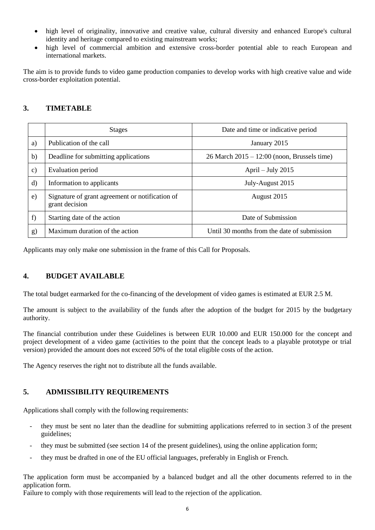- high level of originality, innovative and creative value, cultural diversity and enhanced Europe's cultural identity and heritage compared to existing mainstream works;
- high level of commercial ambition and extensive cross-border potential able to reach European and international markets.

The aim is to provide funds to video game production companies to develop works with high creative value and wide cross-border exploitation potential.

## **3. TIMETABLE**

|               | <b>Stages</b>                                                     | Date and time or indicative period              |
|---------------|-------------------------------------------------------------------|-------------------------------------------------|
| a)            | Publication of the call                                           | January 2015                                    |
| b)            | Deadline for submitting applications                              | $26$ March $2015 - 12:00$ (noon, Brussels time) |
| $\mathbf{c})$ | Evaluation period                                                 | April $-$ July 2015                             |
| $\rm d$       | Information to applicants                                         | July-August 2015                                |
| $\epsilon$ )  | Signature of grant agreement or notification of<br>grant decision | August 2015                                     |
| f)            | Starting date of the action                                       | Date of Submission                              |
| g)            | Maximum duration of the action                                    | Until 30 months from the date of submission     |

Applicants may only make one submission in the frame of this Call for Proposals.

#### **4. BUDGET AVAILABLE**

The total budget earmarked for the co-financing of the development of video games is estimated at EUR 2.5 M.

The amount is subject to the availability of the funds after the adoption of the budget for 2015 by the budgetary authority.

The financial contribution under these Guidelines is between EUR 10.000 and EUR 150.000 for the concept and project development of a video game (activities to the point that the concept leads to a playable prototype or trial version) provided the amount does not exceed 50% of the total eligible costs of the action.

The Agency reserves the right not to distribute all the funds available.

## **5. ADMISSIBILITY REQUIREMENTS**

Applications shall comply with the following requirements:

- they must be sent no later than the deadline for submitting applications referred to in section 3 of the present guidelines;
- they must be submitted (see section 14 of the present guidelines), using the online application form;
- they must be drafted in one of the EU official languages, preferably in English or French.

The application form must be accompanied by a balanced budget and all the other documents referred to in the application form.

Failure to comply with those requirements will lead to the rejection of the application.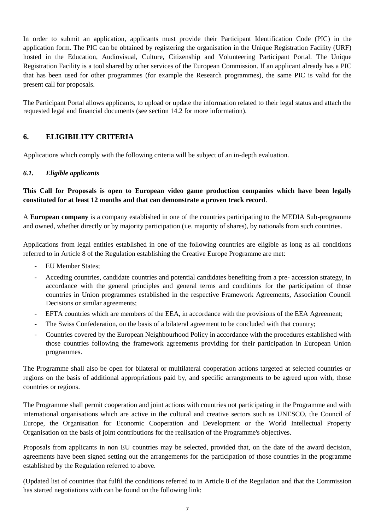In order to submit an application, applicants must provide their Participant Identification Code (PIC) in the application form. The PIC can be obtained by registering the organisation in the Unique Registration Facility (URF) hosted in the Education, Audiovisual, Culture, Citizenship and Volunteering Participant Portal. The Unique Registration Facility is a tool shared by other services of the European Commission. If an applicant already has a PIC that has been used for other programmes (for example the Research programmes), the same PIC is valid for the present call for proposals.

The Participant Portal allows applicants, to upload or update the information related to their legal status and attach the requested legal and financial documents (see section 14.2 for more information).

## **6. ELIGIBILITY CRITERIA**

Applications which comply with the following criteria will be subject of an in-depth evaluation.

#### *6.1. Eligible applicants*

**This Call for Proposals is open to European video game production companies which have been legally constituted for at least 12 months and that can demonstrate a proven track record**.

A **European company** is a company established in one of the countries participating to the MEDIA Sub-programme and owned, whether directly or by majority participation (i.e. majority of shares), by nationals from such countries.

Applications from legal entities established in one of the following countries are eligible as long as all conditions referred to in Article 8 of the Regulation establishing the Creative Europe Programme are met:

- EU Member States:
- Acceding countries, candidate countries and potential candidates benefiting from a pre- accession strategy, in accordance with the general principles and general terms and conditions for the participation of those countries in Union programmes established in the respective Framework Agreements, Association Council Decisions or similar agreements;
- EFTA countries which are members of the EEA, in accordance with the provisions of the EEA Agreement;
- The Swiss Confederation, on the basis of a bilateral agreement to be concluded with that country;
- Countries covered by the European Neighbourhood Policy in accordance with the procedures established with those countries following the framework agreements providing for their participation in European Union programmes.

The Programme shall also be open for bilateral or multilateral cooperation actions targeted at selected countries or regions on the basis of additional appropriations paid by, and specific arrangements to be agreed upon with, those countries or regions.

The Programme shall permit cooperation and joint actions with countries not participating in the Programme and with international organisations which are active in the cultural and creative sectors such as UNESCO, the Council of Europe, the Organisation for Economic Cooperation and Development or the World Intellectual Property Organisation on the basis of joint contributions for the realisation of the Programme's objectives.

Proposals from applicants in non EU countries may be selected, provided that, on the date of the award decision, agreements have been signed setting out the arrangements for the participation of those countries in the programme established by the Regulation referred to above.

(Updated list of countries that fulfil the conditions referred to in Article 8 of the Regulation and that the Commission has started negotiations with can be found on the following link: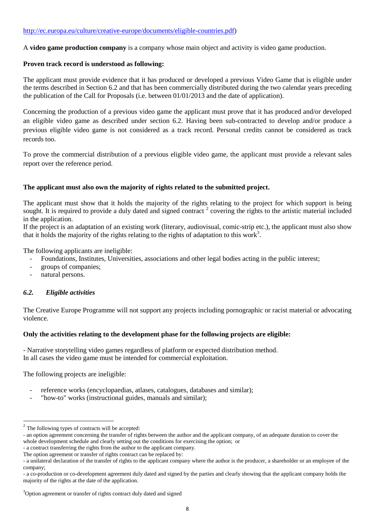A **video game production company** is a company whose main object and activity is video game production.

#### **Proven track record is understood as following:**

The applicant must provide evidence that it has produced or developed a previous Video Game that is eligible under the terms described in Section 6.2 and that has been commercially distributed during the two calendar years preceding the publication of the Call for Proposals (i.e. between 01/01/2013 and the date of application).

Concerning the production of a previous video game the applicant must prove that it has produced and/or developed an eligible video game as described under section 6.2. Having been sub-contracted to develop and/or produce a previous eligible video game is not considered as a track record. Personal credits cannot be considered as track records too.

To prove the commercial distribution of a previous eligible video game, the applicant must provide a relevant sales report over the reference period.

#### **The applicant must also own the majority of rights related to the submitted project.**

The applicant must show that it holds the majority of the rights relating to the project for which support is being sought. It is required to provide a duly dated and signed contract  $2$  covering the rights to the artistic material included in the application.

If the project is an adaptation of an existing work (literary, audiovisual, comic-strip etc.), the applicant must also show that it holds the majority of the rights relating to the rights of adaptation to this work<sup>3</sup>.

The following applicants are ineligible:

- Foundations, Institutes, Universities, associations and other legal bodies acting in the public interest;
- groups of companies;
- natural persons.

#### *6.2. Eligible activities*

The Creative Europe Programme will not support any projects including pornographic or racist material or advocating violence.

#### **Only the activities relating to the development phase for the following projects are eligible:**

- Narrative storytelling video games regardless of platform or expected distribution method. In all cases the video game must be intended for commercial exploitation.

The following projects are ineligible:

- reference works (encyclopaedias, atlases, catalogues, databases and similar);
- "how-to" works (instructional guides, manuals and similar);

<sup>&</sup>lt;sup>2</sup> The following types of contracts will be accepted:

<sup>-</sup> an option agreement concerning the transfer of rights between the author and the applicant company, of an adequate duration to cover the whole development schedule and clearly setting out the conditions for exercising the option; or

<sup>-</sup> a contract transferring the rights from the author to the applicant company.

The option agreement or transfer of rights contract can be replaced by:

<sup>-</sup> a unilateral declaration of the transfer of rights to the applicant company where the author is the producer, a shareholder or an employee of the company;

<sup>-</sup> a co-production or co-development agreement duly dated and signed by the parties and clearly showing that the applicant company holds the majority of the rights at the date of the application.

<sup>&</sup>lt;sup>3</sup>Option agreement or transfer of rights contract duly dated and signed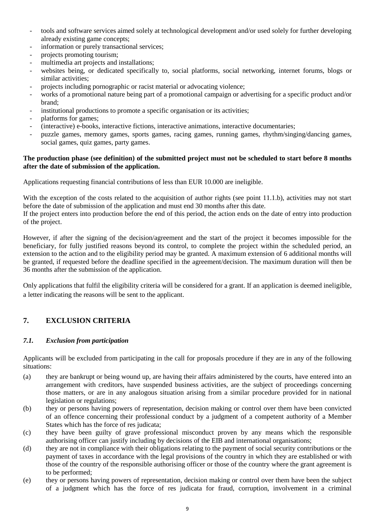- tools and software services aimed solely at technological development and/or used solely for further developing already existing game concepts;
- information or purely transactional services;
- projects promoting tourism;
- multimedia art projects and installations;
- websites being, or dedicated specifically to, social platforms, social networking, internet forums, blogs or similar activities;
- projects including pornographic or racist material or advocating violence;
- works of a promotional nature being part of a promotional campaign or advertising for a specific product and/or brand;
- institutional productions to promote a specific organisation or its activities;
- platforms for games;
- (interactive) e-books, interactive fictions, interactive animations, interactive documentaries;
- puzzle games, memory games, sports games, racing games, running games, rhythm/singing/dancing games, social games, quiz games, party games.

#### **The production phase (see definition) of the submitted project must not be scheduled to start before 8 months after the date of submission of the application.**

Applications requesting financial contributions of less than EUR 10.000 are ineligible.

With the exception of the costs related to the acquisition of author rights (see point 11.1.b), activities may not start before the date of submission of the application and must end 30 months after this date.

If the project enters into production before the end of this period, the action ends on the date of entry into production of the project.

However, if after the signing of the decision/agreement and the start of the project it becomes impossible for the beneficiary, for fully justified reasons beyond its control, to complete the project within the scheduled period, an extension to the action and to the eligibility period may be granted. A maximum extension of 6 additional months will be granted, if requested before the deadline specified in the agreement/decision. The maximum duration will then be 36 months after the submission of the application.

Only applications that fulfil the eligibility criteria will be considered for a grant. If an application is deemed ineligible, a letter indicating the reasons will be sent to the applicant.

## **7. EXCLUSION CRITERIA**

#### *7.1. Exclusion from participation*

Applicants will be excluded from participating in the call for proposals procedure if they are in any of the following situations:

- (a) they are bankrupt or being wound up, are having their affairs administered by the courts, have entered into an arrangement with creditors, have suspended business activities, are the subject of proceedings concerning those matters, or are in any analogous situation arising from a similar procedure provided for in national legislation or regulations;
- (b) they or persons having powers of representation, decision making or control over them have been convicted of an offence concerning their professional conduct by a judgment of a competent authority of a Member States which has the force of res judicata;
- (c) they have been guilty of grave professional misconduct proven by any means which the responsible authorising officer can justify including by decisions of the EIB and international organisations;
- (d) they are not in compliance with their obligations relating to the payment of social security contributions or the payment of taxes in accordance with the legal provisions of the country in which they are established or with those of the country of the responsible authorising officer or those of the country where the grant agreement is to be performed;
- (e) they or persons having powers of representation, decision making or control over them have been the subject of a judgment which has the force of res judicata for fraud, corruption, involvement in a criminal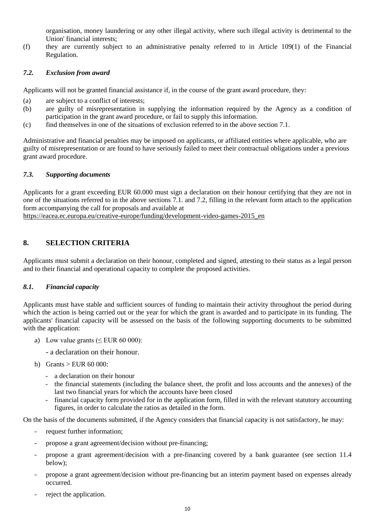organisation, money laundering or any other illegal activity, where such illegal activity is detrimental to the Union' financial interests;

(f) they are currently subject to an administrative penalty referred to in Article 109(1) of the Financial Regulation.

#### *7.2. Exclusion from award*

Applicants will not be granted financial assistance if, in the course of the grant award procedure, they:

- (a) are subject to a conflict of interests;
- (b) are guilty of misrepresentation in supplying the information required by the Agency as a condition of participation in the grant award procedure, or fail to supply this information.
- (c) find themselves in one of the situations of exclusion referred to in the above section 7.1.

Administrative and financial penalties may be imposed on applicants, or affiliated entities where applicable, who are guilty of misrepresentation or are found to have seriously failed to meet their contractual obligations under a previous grant award procedure.

#### *7.3. Supporting documents*

Applicants for a grant exceeding EUR 60.000 must sign a declaration on their honour certifying that they are not in one of the situations referred to in the above sections 7.1. and 7.2, filling in the relevant form attach to the application form accompanying the call for proposals and available at

[https://eacea.ec.europa.eu/creative-europe/funding/development-video-games-2015\\_en](https://eacea.ec.europa.eu/creative-europe/funding/development-video-games-2015_en)

## **8. SELECTION CRITERIA**

Applicants must submit a declaration on their honour, completed and signed, attesting to their status as a legal person and to their financial and operational capacity to complete the proposed activities.

#### *8.1. Financial capacity*

Applicants must have stable and sufficient sources of funding to maintain their activity throughout the period during which the action is being carried out or the year for which the grant is awarded and to participate in its funding. The applicants' financial capacity will be assessed on the basis of the following supporting documents to be submitted with the application:

a) Low value grants ( $\leq$  EUR 60 000):

- a declaration on their honour.

- b) Grants  $>$  EUR 60 000:
	- a declaration on their honour
	- the financial statements (including the balance sheet, the profit and loss accounts and the annexes) of the last two financial years for which the accounts have been closed
	- financial capacity form provided for in the application form, filled in with the relevant statutory accounting figures, in order to calculate the ratios as detailed in the form.

On the basis of the documents submitted, if the Agency considers that financial capacity is not satisfactory, he may:

- request further information;
- propose a grant agreement/decision without pre-financing;
- propose a grant agreement/decision with a pre-financing covered by a bank guarantee (see section 11.4 below);
- propose a grant agreement/decision without pre-financing but an interim payment based on expenses already occurred.
- reject the application.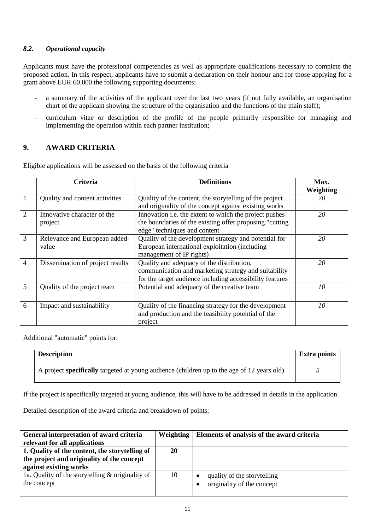#### *8.2. Operational capacity*

Applicants must have the professional competencies as well as appropriate qualifications necessary to complete the proposed action. In this respect, applicants have to submit a declaration on their honour and for those applying for a grant above EUR 60.000 the following supporting documents:

- a summary of the activities of the applicant over the last two years (if not fully available, an organisation chart of the applicant showing the structure of the organisation and the functions of the main staff);
- curriculum vitae or description of the profile of the people primarily responsible for managing and implementing the operation within each partner institution;

## **9. AWARD CRITERIA**

Eligible applications will be assessed on the basis of the following criteria

|                | Criteria                         | <b>Definitions</b>                                            | Max.      |
|----------------|----------------------------------|---------------------------------------------------------------|-----------|
|                |                                  |                                                               | Weighting |
|                | Quality and content activities   | Quality of the content, the storytelling of the project       | 20        |
|                |                                  | and originality of the concept against existing works         |           |
| $\overline{2}$ | Innovative character of the      | Innovation <i>i.e.</i> the extent to which the project pushes | 20        |
|                | project                          | the boundaries of the existing offer proposing "cutting"      |           |
|                |                                  | edge" techniques and content                                  |           |
| 3              | Relevance and European added-    | Quality of the development strategy and potential for         | 20        |
|                | value                            | European international exploitation (including                |           |
|                |                                  | management of IP rights)                                      |           |
| 4              | Dissemination of project results | Quality and adequacy of the distribution,                     | 20        |
|                |                                  | communication and marketing strategy and suitability          |           |
|                |                                  | for the target audience including accessibility features      |           |
| 5              | Quality of the project team      | Potential and adequacy of the creative team                   | 10        |
|                |                                  |                                                               |           |
| 6              | Impact and sustainability        | Quality of the financing strategy for the development         | 10        |
|                |                                  | and production and the feasibility potential of the           |           |
|                |                                  | project                                                       |           |

Additional "automatic" points for:

| <b>Description</b>                                                                                | <b>Extra points</b> |
|---------------------------------------------------------------------------------------------------|---------------------|
| A project <b>specifically</b> targeted at young audience (children up to the age of 12 years old) |                     |

If the project is specifically targeted at young audience, this will have to be addressed in details in the application.

Detailed description of the award criteria and breakdown of points:

| General interpretation of award criteria         | Weighting | Elements of analysis of the award criteria |
|--------------------------------------------------|-----------|--------------------------------------------|
| relevant for all applications                    |           |                                            |
| 1. Quality of the content, the storytelling of   | 20        |                                            |
| the project and originality of the concept       |           |                                            |
| against existing works                           |           |                                            |
| 1a. Quality of the storytelling & originality of | 10        | quality of the storytelling                |
| the concept                                      |           | originality of the concept                 |
|                                                  |           |                                            |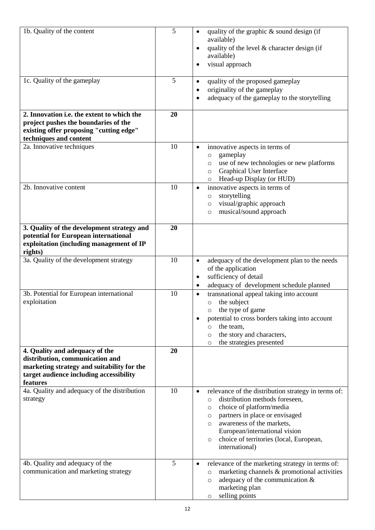| 1b. Quality of the content                                                                                                                                             | 5  | quality of the graphic & sound design (if<br>$\bullet$<br>available)<br>quality of the level & character design (if<br>$\bullet$<br>available)<br>visual approach<br>$\bullet$                                                                                                                                                         |
|------------------------------------------------------------------------------------------------------------------------------------------------------------------------|----|----------------------------------------------------------------------------------------------------------------------------------------------------------------------------------------------------------------------------------------------------------------------------------------------------------------------------------------|
| 1c. Quality of the gameplay                                                                                                                                            | 5  | quality of the proposed gameplay<br>$\bullet$<br>originality of the gameplay<br>$\bullet$<br>adequacy of the gameplay to the storytelling<br>$\bullet$                                                                                                                                                                                 |
| 2. Innovation <i>i.e.</i> the extent to which the<br>project pushes the boundaries of the<br>existing offer proposing "cutting edge"<br>techniques and content         | 20 |                                                                                                                                                                                                                                                                                                                                        |
| 2a. Innovative techniques                                                                                                                                              | 10 | innovative aspects in terms of<br>$\bullet$<br>gameplay<br>$\circ$<br>use of new technologies or new platforms<br>$\circ$<br>Graphical User Interface<br>$\circ$<br>Head-up Display (or HUD)<br>$\circ$                                                                                                                                |
| 2b. Innovative content                                                                                                                                                 | 10 | innovative aspects in terms of<br>$\bullet$<br>storytelling<br>$\circ$<br>visual/graphic approach<br>$\circ$<br>musical/sound approach<br>$\circ$                                                                                                                                                                                      |
| 3. Quality of the development strategy and<br>potential for European international<br>exploitation (including management of IP<br>rights)                              | 20 |                                                                                                                                                                                                                                                                                                                                        |
| 3a. Quality of the development strategy                                                                                                                                | 10 | adequacy of the development plan to the needs<br>$\bullet$<br>of the application<br>sufficiency of detail<br>$\bullet$<br>adequacy of development schedule planned<br>$\bullet$                                                                                                                                                        |
| 3b. Potential for European international<br>exploitation                                                                                                               | 10 | transnational appeal taking into account<br>$\bullet$<br>the subject<br>$\circ$<br>the type of game<br>O<br>potential to cross borders taking into account<br>$\bullet$<br>the team,<br>$\circ$<br>the story and characters,<br>O<br>the strategies presented<br>$\circ$                                                               |
| 4. Quality and adequacy of the<br>distribution, communication and<br>marketing strategy and suitability for the<br>target audience including accessibility<br>features | 20 |                                                                                                                                                                                                                                                                                                                                        |
| 4a. Quality and adequacy of the distribution<br>strategy                                                                                                               | 10 | relevance of the distribution strategy in terms of:<br>$\bullet$<br>distribution methods foreseen,<br>$\circ$<br>choice of platform/media<br>O<br>partners in place or envisaged<br>O<br>awareness of the markets,<br>$\circ$<br>European/international vision<br>choice of territories (local, European,<br>$\circ$<br>international) |
| 4b. Quality and adequacy of the<br>communication and marketing strategy                                                                                                | 5  | relevance of the marketing strategy in terms of:<br>$\bullet$<br>marketing channels & promotional activities<br>O<br>adequacy of the communication $\&$<br>$\circ$<br>marketing plan<br>selling points<br>$\circ$                                                                                                                      |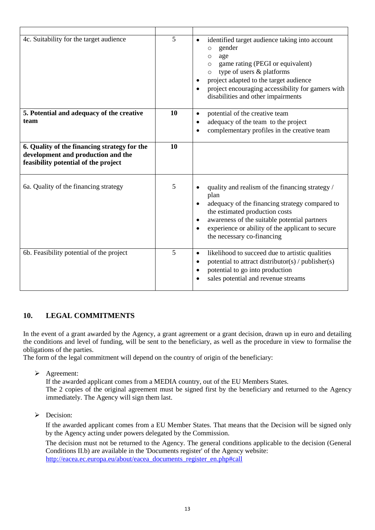| 4c. Suitability for the target audience                                                                                    | 5  | identified target audience taking into account<br>$\bullet$<br>gender<br>$\circ$<br>age<br>$\circ$<br>game rating (PEGI or equivalent)<br>$\circ$<br>$\circ$ type of users & platforms<br>project adapted to the target audience<br>٠<br>project encouraging accessibility for gamers with<br>$\bullet$<br>disabilities and other impairments |
|----------------------------------------------------------------------------------------------------------------------------|----|-----------------------------------------------------------------------------------------------------------------------------------------------------------------------------------------------------------------------------------------------------------------------------------------------------------------------------------------------|
| 5. Potential and adequacy of the creative<br>team                                                                          | 10 | potential of the creative team<br>$\bullet$<br>adequacy of the team to the project<br>$\bullet$<br>complementary profiles in the creative team                                                                                                                                                                                                |
| 6. Quality of the financing strategy for the<br>development and production and the<br>feasibility potential of the project | 10 |                                                                                                                                                                                                                                                                                                                                               |
| 6a. Quality of the financing strategy                                                                                      | 5  | quality and realism of the financing strategy /<br>$\bullet$<br>plan<br>adequacy of the financing strategy compared to<br>the estimated production costs<br>awareness of the suitable potential partners<br>$\bullet$<br>experience or ability of the applicant to secure<br>$\bullet$<br>the necessary co-financing                          |
| 6b. Feasibility potential of the project                                                                                   | 5  | likelihood to succeed due to artistic qualities<br>$\bullet$<br>potential to attract distributor(s) / publisher(s)<br>$\bullet$<br>potential to go into production<br>٠<br>sales potential and revenue streams                                                                                                                                |

## **10. LEGAL COMMITMENTS**

In the event of a grant awarded by the Agency, a grant agreement or a grant decision, drawn up in euro and detailing the conditions and level of funding, will be sent to the beneficiary, as well as the procedure in view to formalise the obligations of the parties.

The form of the legal commitment will depend on the country of origin of the beneficiary:

> Agreement:

If the awarded applicant comes from a MEDIA country, out of the EU Members States. The 2 copies of the original agreement must be signed first by the beneficiary and returned to the Agency

immediately. The Agency will sign them last.

 $\triangleright$  Decision:

If the awarded applicant comes from a EU Member States. That means that the Decision will be signed only by the Agency acting under powers delegated by the Commission.

The decision must not be returned to the Agency. The general conditions applicable to the decision (General Conditions II.b) are available in the 'Documents register' of the Agency website: [http://eacea.ec.europa.eu/about/eacea\\_documents\\_register\\_en.php#call](http://eacea.ec.europa.eu/about/eacea_documents_register_en.php#call)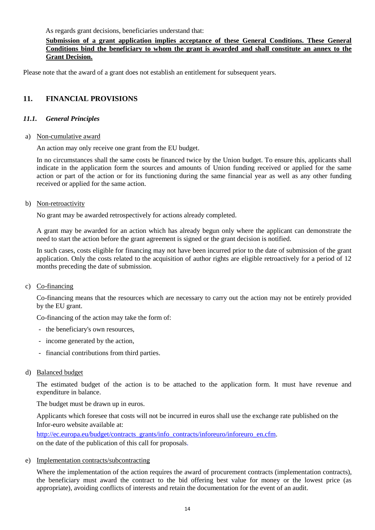As regards grant decisions, beneficiaries understand that:

#### **Submission of a grant application implies acceptance of these General Conditions. These General Conditions bind the beneficiary to whom the grant is awarded and shall constitute an annex to the Grant Decision.**

Please note that the award of a grant does not establish an entitlement for subsequent years.

#### **11. FINANCIAL PROVISIONS**

#### *11.1. General Principles*

#### a) Non-cumulative award

An action may only receive one grant from the EU budget.

In no circumstances shall the same costs be financed twice by the Union budget. To ensure this, applicants shall indicate in the application form the sources and amounts of Union funding received or applied for the same action or part of the action or for its functioning during the same financial year as well as any other funding received or applied for the same action.

#### b) Non-retroactivity

No grant may be awarded retrospectively for actions already completed.

A grant may be awarded for an action which has already begun only where the applicant can demonstrate the need to start the action before the grant agreement is signed or the grant decision is notified.

In such cases, costs eligible for financing may not have been incurred prior to the date of submission of the grant application. Only the costs related to the acquisition of author rights are eligible retroactively for a period of 12 months preceding the date of submission.

#### c) Co-financing

Co-financing means that the resources which are necessary to carry out the action may not be entirely provided by the EU grant.

Co-financing of the action may take the form of:

- the beneficiary's own resources,
- income generated by the action,
- financial contributions from third parties.

#### d) Balanced budget

The estimated budget of the action is to be attached to the application form. It must have revenue and expenditure in balance.

The budget must be drawn up in euros.

Applicants which foresee that costs will not be incurred in euros shall use the exchange rate published on the Infor-euro website available at:

[http://ec.europa.eu/budget/contracts\\_grants/info\\_contracts/inforeuro/inforeuro\\_en.cfm.](http://ec.europa.eu/budget/contracts_grants/info_contracts/inforeuro/inforeuro_en.cfm) on the date of the publication of this call for proposals.

#### e) Implementation contracts/subcontracting

Where the implementation of the action requires the award of procurement contracts (implementation contracts), the beneficiary must award the contract to the bid offering best value for money or the lowest price (as appropriate), avoiding conflicts of interests and retain the documentation for the event of an audit.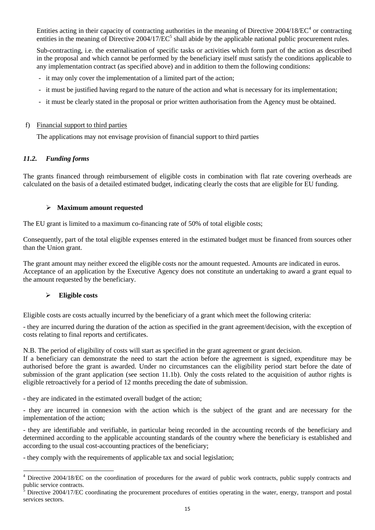Entities acting in their capacity of contracting authorities in the meaning of Directive  $2004/18/EC^4$  or contracting entities in the meaning of Directive  $2004/17/EC^5$  shall abide by the applicable national public procurement rules.

Sub-contracting, i.e. the externalisation of specific tasks or activities which form part of the action as described in the proposal and which cannot be performed by the beneficiary itself must satisfy the conditions applicable to any implementation contract (as specified above) and in addition to them the following conditions:

- it may only cover the implementation of a limited part of the action;
- it must be justified having regard to the nature of the action and what is necessary for its implementation;
- it must be clearly stated in the proposal or prior written authorisation from the Agency must be obtained.

#### f) Financial support to third parties

The applications may not envisage provision of financial support to third parties

#### *11.2. Funding forms*

The grants financed through reimbursement of eligible costs in combination with flat rate covering overheads are calculated on the basis of a detailed estimated budget, indicating clearly the costs that are eligible for EU funding.

#### **Maximum amount requested**

The EU grant is limited to a maximum co-financing rate of 50% of total eligible costs;

Consequently, part of the total eligible expenses entered in the estimated budget must be financed from sources other than the Union grant.

The grant amount may neither exceed the eligible costs nor the amount requested. Amounts are indicated in euros. Acceptance of an application by the Executive Agency does not constitute an undertaking to award a grant equal to the amount requested by the beneficiary.

#### **Eligible costs**

 $\overline{a}$ 

Eligible costs are costs actually incurred by the beneficiary of a grant which meet the following criteria:

- they are incurred during the duration of the action as specified in the grant agreement/decision, with the exception of costs relating to final reports and certificates.

N.B. The period of eligibility of costs will start as specified in the grant agreement or grant decision.

If a beneficiary can demonstrate the need to start the action before the agreement is signed, expenditure may be authorised before the grant is awarded. Under no circumstances can the eligibility period start before the date of submission of the grant application (see section 11.1b). Only the costs related to the acquisition of author rights is eligible retroactively for a period of 12 months preceding the date of submission.

- they are indicated in the estimated overall budget of the action;

- they are incurred in connexion with the action which is the subject of the grant and are necessary for the implementation of the action;

- they are identifiable and verifiable, in particular being recorded in the accounting records of the beneficiary and determined according to the applicable accounting standards of the country where the beneficiary is established and according to the usual cost-accounting practices of the beneficiary;

- they comply with the requirements of applicable tax and social legislation;

<sup>&</sup>lt;sup>4</sup> Directive 2004/18/EC on the coordination of procedures for the award of public work contracts, public supply contracts and public service contracts.

<sup>5</sup> Directive 2004/17/EC coordinating the procurement procedures of entities operating in the water, energy, transport and postal services sectors.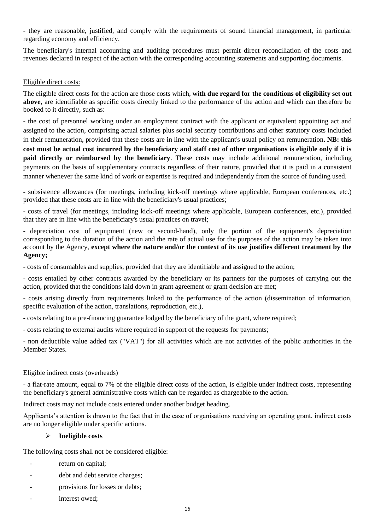- they are reasonable, justified, and comply with the requirements of sound financial management, in particular regarding economy and efficiency.

The beneficiary's internal accounting and auditing procedures must permit direct reconciliation of the costs and revenues declared in respect of the action with the corresponding accounting statements and supporting documents.

#### Eligible direct costs:

The eligible direct costs for the action are those costs which, **with due regard for the conditions of eligibility set out above**, are identifiable as specific costs directly linked to the performance of the action and which can therefore be booked to it directly, such as:

- the cost of personnel working under an employment contract with the applicant or equivalent appointing act and assigned to the action, comprising actual salaries plus social security contributions and other statutory costs included in their remuneration, provided that these costs are in line with the applicant's usual policy on remuneration**. NB: this cost must be actual cost incurred by the beneficiary and staff cost of other organisations is eligible only if it is paid directly or reimbursed by the beneficiary**. These costs may include additional remuneration, including payments on the basis of supplementary contracts regardless of their nature, provided that it is paid in a consistent manner whenever the same kind of work or expertise is required and independently from the source of funding used.

- subsistence allowances (for meetings, including kick-off meetings where applicable, European conferences, etc.) provided that these costs are in line with the beneficiary's usual practices;

- costs of travel (for meetings, including kick-off meetings where applicable, European conferences, etc.), provided that they are in line with the beneficiary's usual practices on travel;

- depreciation cost of equipment (new or second-hand), only the portion of the equipment's depreciation corresponding to the duration of the action and the rate of actual use for the purposes of the action may be taken into account by the Agency, **except where the nature and/or the context of its use justifies different treatment by the Agency;**

- costs of consumables and supplies, provided that they are identifiable and assigned to the action;

- costs entailed by other contracts awarded by the beneficiary or its partners for the purposes of carrying out the action, provided that the conditions laid down in grant agreement or grant decision are met;

- costs arising directly from requirements linked to the performance of the action (dissemination of information, specific evaluation of the action, translations, reproduction, etc.),

- costs relating to a pre-financing guarantee lodged by the beneficiary of the grant, where required;

- costs relating to external audits where required in support of the requests for payments;

- non deductible value added tax ("VAT") for all activities which are not activities of the public authorities in the Member States.

#### Eligible indirect costs (overheads)

- a flat-rate amount, equal to 7% of the eligible direct costs of the action, is eligible under indirect costs, representing the beneficiary's general administrative costs which can be regarded as chargeable to the action.

Indirect costs may not include costs entered under another budget heading.

Applicants's attention is drawn to the fact that in the case of organisations receiving an operating grant, indirect costs are no longer eligible under specific actions.

#### **Ineligible costs**

The following costs shall not be considered eligible:

- return on capital;
- debt and debt service charges;
- provisions for losses or debts;
- interest owed: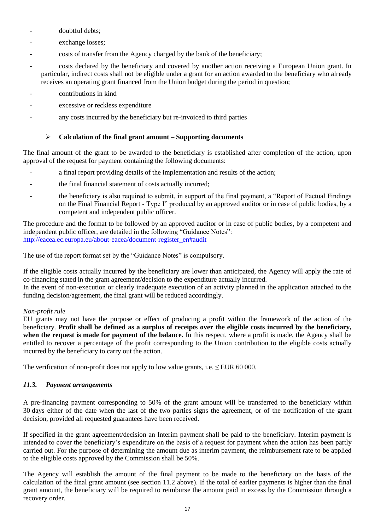- doubtful debts;
- exchange losses;
- costs of transfer from the Agency charged by the bank of the beneficiary;
- costs declared by the beneficiary and covered by another action receiving a European Union grant. In particular, indirect costs shall not be eligible under a grant for an action awarded to the beneficiary who already receives an operating grant financed from the Union budget during the period in question;
- contributions in kind
- excessive or reckless expenditure
- any costs incurred by the beneficiary but re-invoiced to third parties

#### **Calculation of the final grant amount – Supporting documents**

The final amount of the grant to be awarded to the beneficiary is established after completion of the action, upon approval of the request for payment containing the following documents:

- a final report providing details of the implementation and results of the action;
- the final financial statement of costs actually incurred;
- the beneficiary is also required to submit, in support of the final payment, a "Report of Factual Findings" on the Final Financial Report - Type I" produced by an approved auditor or in case of public bodies, by a competent and independent public officer.

The procedure and the format to be followed by an approved auditor or in case of public bodies, by a competent and independent public officer, are detailed in the following "Guidance Notes": [http://eacea.ec.europa.eu/about-eacea/document-register\\_en#audit](http://eacea.ec.europa.eu/about-eacea/document-register_en#audit)

The use of the report format set by the "Guidance Notes" is compulsory.

If the eligible costs actually incurred by the beneficiary are lower than anticipated, the Agency will apply the rate of co-financing stated in the grant agreement/decision to the expenditure actually incurred.

In the event of non-execution or clearly inadequate execution of an activity planned in the application attached to the funding decision/agreement, the final grant will be reduced accordingly.

#### *Non-profit rule*

EU grants may not have the purpose or effect of producing a profit within the framework of the action of the beneficiary. **Profit shall be defined as a surplus of receipts over the eligible costs incurred by the beneficiary, when the request is made for payment of the balance.** In this respect, where a profit is made, the Agency shall be entitled to recover a percentage of the profit corresponding to the Union contribution to the eligible costs actually incurred by the beneficiary to carry out the action.

The verification of non-profit does not apply to low value grants, i.e.  $\leq$  EUR 60 000.

#### *11.3. Payment arrangements*

A pre-financing payment corresponding to 50% of the grant amount will be transferred to the beneficiary within 30 days either of the date when the last of the two parties signs the agreement, or of the notification of the grant decision, provided all requested guarantees have been received.

If specified in the grant agreement/decision an Interim payment shall be paid to the beneficiary. Interim payment is intended to cover the beneficiary's expenditure on the basis of a request for payment when the action has been partly carried out. For the purpose of determining the amount due as interim payment, the reimbursement rate to be applied to the eligible costs approved by the Commission shall be 50%.

The Agency will establish the amount of the final payment to be made to the beneficiary on the basis of the calculation of the final grant amount (see section 11.2 above). If the total of earlier payments is higher than the final grant amount, the beneficiary will be required to reimburse the amount paid in excess by the Commission through a recovery order.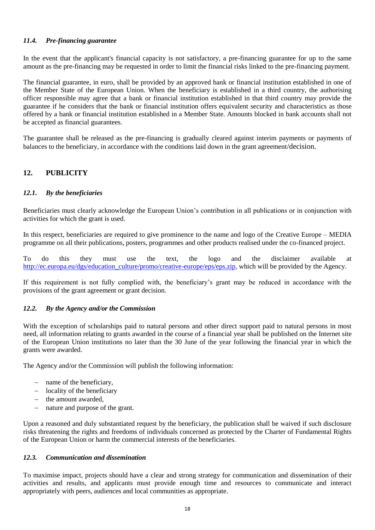#### *11.4. Pre-financing guarantee*

In the event that the applicant's financial capacity is not satisfactory, a pre-financing guarantee for up to the same amount as the pre-financing may be requested in order to limit the financial risks linked to the pre-financing payment.

The financial guarantee, in euro, shall be provided by an approved bank or financial institution established in one of the Member State of the European Union. When the beneficiary is established in a third country, the authorising officer responsible may agree that a bank or financial institution established in that third country may provide the guarantee if he considers that the bank or financial institution offers equivalent security and characteristics as those offered by a bank or financial institution established in a Member State. Amounts blocked in bank accounts shall not be accepted as financial guarantees.

The guarantee shall be released as the pre-financing is gradually cleared against interim payments or payments of balances to the beneficiary, in accordance with the conditions laid down in the grant agreement/decision.

## **12. PUBLICITY**

#### *12.1. By the beneficiaries*

Beneficiaries must clearly acknowledge the European Union's contribution in all publications or in conjunction with activities for which the grant is used.

In this respect, beneficiaries are required to give prominence to the name and logo of the Creative Europe – MEDIA programme on all their publications, posters, programmes and other products realised under the co-financed project.

To do this they must use the text, the logo and the disclaimer available at [http://ec.europa.eu/dgs/education\\_culture/promo/creative-europe/eps/eps.zip,](http://ec.europa.eu/dgs/education_culture/promo/creative-europe/eps/eps.zip) which will be provided by the Agency.

If this requirement is not fully complied with, the beneficiary's grant may be reduced in accordance with the provisions of the grant agreement or grant decision.

#### *12.2. By the Agency and/or the Commission*

With the exception of scholarships paid to natural persons and other direct support paid to natural persons in most need, all information relating to grants awarded in the course of a financial year shall be published on the Internet site of the European Union institutions no later than the 30 June of the year following the financial year in which the grants were awarded.

The Agency and/or the Commission will publish the following information:

- name of the beneficiary,
- locality of the beneficiary
- the amount awarded,
- nature and purpose of the grant.

Upon a reasoned and duly substantiated request by the beneficiary, the publication shall be waived if such disclosure risks threatening the rights and freedoms of individuals concerned as protected by the Charter of Fundamental Rights of the European Union or harm the commercial interests of the beneficiaries.

#### *12.3. Communication and dissemination*

To maximise impact, projects should have a clear and strong strategy for communication and dissemination of their activities and results, and applicants must provide enough time and resources to communicate and interact appropriately with peers, audiences and local communities as appropriate.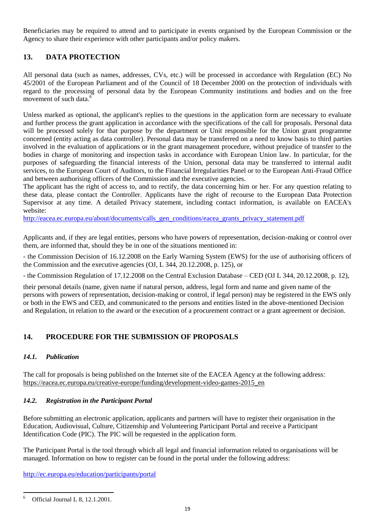Beneficiaries may be required to attend and to participate in events organised by the European Commission or the Agency to share their experience with other participants and/or policy makers.

## **13. DATA PROTECTION**

All personal data (such as names, addresses, CVs, etc.) will be processed in accordance with Regulation (EC) No 45/2001 of the European Parliament and of the Council of 18 December 2000 on the protection of individuals with regard to the processing of personal data by the European Community institutions and bodies and on the free movement of such data.<sup>6</sup>

Unless marked as optional, the applicant's replies to the questions in the application form are necessary to evaluate and further process the grant application in accordance with the specifications of the call for proposals. Personal data will be processed solely for that purpose by the department or Unit responsible for the Union grant programme concerned (entity acting as data controller). Personal data may be transferred on a need to know basis to third parties involved in the evaluation of applications or in the grant management procedure, without prejudice of transfer to the bodies in charge of monitoring and inspection tasks in accordance with European Union law. In particular, for the purposes of safeguarding the financial interests of the Union, personal data may be transferred to internal audit services, to the European Court of Auditors, to the Financial Irregularities Panel or to the European Anti-Fraud Office and between authorising officers of the Commission and the executive agencies.

The applicant has the right of access to, and to rectify, the data concerning him or her. For any question relating to these data, please contact the Controller. Applicants have the right of recourse to the European Data Protection Supervisor at any time. A detailed Privacy statement, including contact information, is available on EACEA's website:

[http://eacea.ec.europa.eu/about/documents/calls\\_gen\\_conditions/eacea\\_grants\\_privacy\\_statement.pdf](http://eacea.ec.europa.eu/about/documents/calls_gen_conditions/eacea_grants_privacy_statement.pdf)

Applicants and, if they are legal entities, persons who have powers of representation, decision-making or control over them, are informed that, should they be in one of the situations mentioned in:

- the Commission Decision of 16.12.2008 on the Early Warning System (EWS) for the use of authorising officers of the Commission and the executive agencies (OJ, L 344, 20.12.2008, p. 125), or

- the Commission Regulation of 17.12.2008 on the Central Exclusion Database – CED (OJ L 344, 20.12.2008, p. 12),

their personal details (name, given name if natural person, address, legal form and name and given name of the persons with powers of representation, decision-making or control, if legal person) may be registered in the EWS only or both in the EWS and CED, and communicated to the persons and entities listed in the above-mentioned Decision and Regulation, in relation to the award or the execution of a procurement contract or a grant agreement or decision.

## **14. PROCEDURE FOR THE SUBMISSION OF PROPOSALS**

## *14.1. Publication*

The call for proposals is being published on the Internet site of the EACEA Agency at the following address: [https://eacea.ec.europa.eu/creative-europe/funding/development-video-games-2015\\_en](https://eacea.ec.europa.eu/creative-europe/funding/development-video-games-2015_en)

#### *14.2. Registration in the Participant Portal*

Before submitting an electronic application, applicants and partners will have to register their organisation in the Education, Audiovisual, Culture, Citizenship and Volunteering Participant Portal and receive a Participant Identification Code (PIC). The PIC will be requested in the application form.

The Participant Portal is the tool through which all legal and financial information related to organisations will be managed. Information on how to register can be found in the portal under the following address:

<http://ec.europa.eu/education/participants/portal>

<sup>6</sup> <sup>6</sup> Official Journal L 8, 12.1.2001.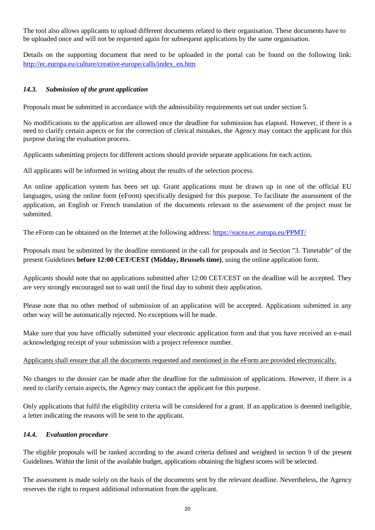The tool also allows applicants to upload different documents related to their organisation. These documents have to be uploaded once and will not be requested again for subsequent applications by the same organisation.

Details on the supporting document that need to be uploaded in the portal can be found on the following link: [http://ec.europa.eu/culture/creative-europe/calls/index\\_en.htm](http://ec.europa.eu/culture/creative-europe/calls/index_en.htm)

#### *14.3. Submission of the grant application*

Proposals must be submitted in accordance with the admissibility requirements set out under section 5.

No modifications to the application are allowed once the deadline for submission has elapsed. However, if there is a need to clarify certain aspects or for the correction of clerical mistakes, the Agency may contact the applicant for this purpose during the evaluation process.

Applicants submitting projects for different actions should provide separate applications for each action.

All applicants will be informed in writing about the results of the selection process.

An online application system has been set up. Grant applications must be drawn up in one of the official EU languages, using the online form (eForm) specifically designed for this purpose. To facilitate the assessment of the application, an English or French translation of the documents relevant to the assessment of the project must be submitted.

The eForm can be obtained on the Internet at the following address:<https://eacea.ec.europa.eu/PPMT/>

Proposals must be submitted by the deadline mentioned in the call for proposals and in Section "3. Timetable" of the present Guidelines **before 12:00 CET/CEST (Midday, Brussels time)**, using the online application form.

Applicants should note that no applications submitted after 12:00 CET/CEST on the deadline will be accepted. They are very strongly encouraged not to wait until the final day to submit their application.

Please note that no other method of submission of an application will be accepted. Applications submitted in any other way will be automatically rejected. No exceptions will be made.

Make sure that you have officially submitted your electronic application form and that you have received an e-mail acknowledging receipt of your submission with a project reference number.

Applicants shall ensure that all the documents requested and mentioned in the eForm are provided electronically.

No changes to the dossier can be made after the deadline for the submission of applications. However, if there is a need to clarify certain aspects, the Agency may contact the applicant for this purpose.

Only applications that fulfil the eligibility criteria will be considered for a grant. If an application is deemed ineligible, a letter indicating the reasons will be sent to the applicant.

#### *14.4. Evaluation procedure*

The eligible proposals will be ranked according to the award criteria defined and weighted in section 9 of the present Guidelines. Within the limit of the available budget, applications obtaining the highest scores will be selected.

The assessment is made solely on the basis of the documents sent by the relevant deadline. Nevertheless, the Agency reserves the right to request additional information from the applicant.